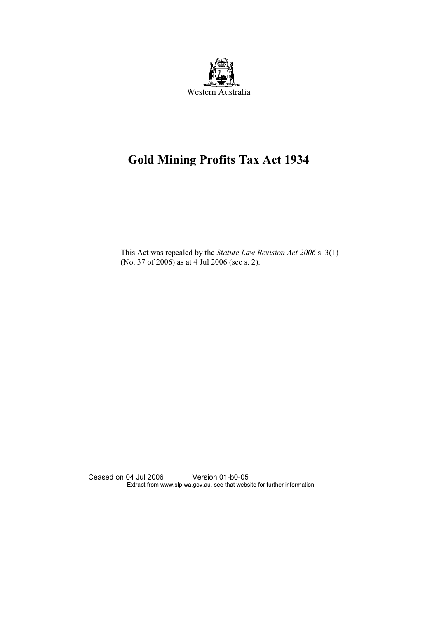

# Gold Mining Profits Tax Act 1934

This Act was repealed by the Statute Law Revision Act 2006 s. 3(1) (No. 37 of 2006) as at 4 Jul 2006 (see s. 2).

Ceased on 04 Jul 2006 Version 01-b0-05 Extract from www.slp.wa.gov.au, see that website for further information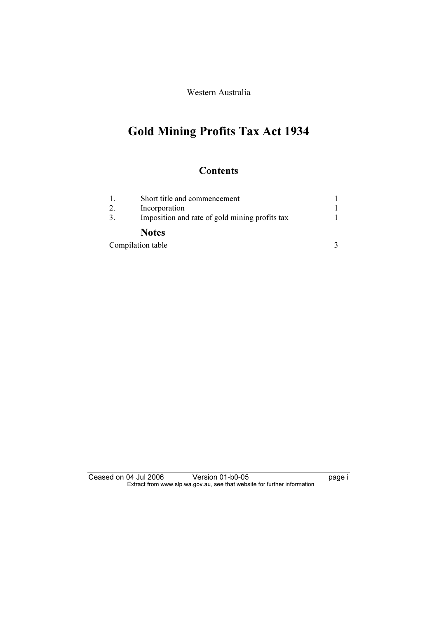Western Australia

## Gold Mining Profits Tax Act 1934

### **Contents**

|                   | Short title and commencement                   |  |  |
|-------------------|------------------------------------------------|--|--|
| 2.                | Incorporation                                  |  |  |
| 3.                | Imposition and rate of gold mining profits tax |  |  |
|                   | <b>Notes</b>                                   |  |  |
| Compilation table |                                                |  |  |

Ceased on 04 Jul 2006 Version 01-b0-05 Page i Extract from www.slp.wa.gov.au, see that website for further information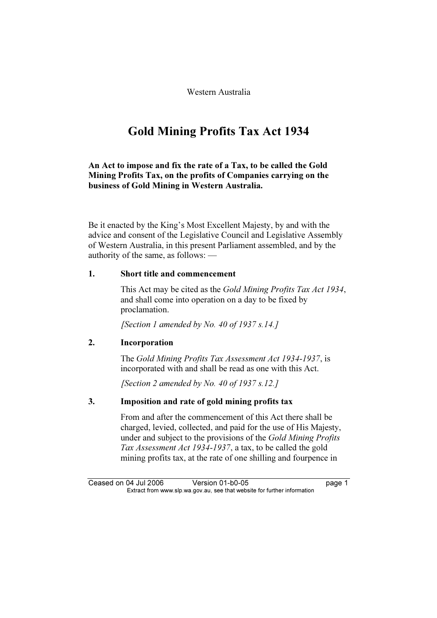Western Australia

### Gold Mining Profits Tax Act 1934

An Act to impose and fix the rate of a Tax, to be called the Gold Mining Profits Tax, on the profits of Companies carrying on the business of Gold Mining in Western Australia.

Be it enacted by the King's Most Excellent Majesty, by and with the advice and consent of the Legislative Council and Legislative Assembly of Western Australia, in this present Parliament assembled, and by the authority of the same, as follows: —

#### 1. Short title and commencement

 This Act may be cited as the Gold Mining Profits Tax Act 1934, and shall come into operation on a day to be fixed by proclamation.

[Section 1 amended by No. 40 of 1937 s.14.]

#### 2. Incorporation

 The Gold Mining Profits Tax Assessment Act 1934-1937, is incorporated with and shall be read as one with this Act.

[Section 2 amended by No. 40 of 1937 s.12.]

#### 3. Imposition and rate of gold mining profits tax

 From and after the commencement of this Act there shall be charged, levied, collected, and paid for the use of His Majesty, under and subject to the provisions of the Gold Mining Profits Tax Assessment Act 1934-1937, a tax, to be called the gold mining profits tax, at the rate of one shilling and fourpence in

Ceased on 04 Jul 2006 Version 01-b0-05 page 1<br>Extract from www.slp.wa.gov.au, see that website for further information  $\mathbf{F}$  from which was the set that we besite for further information  $\mathbf{F}$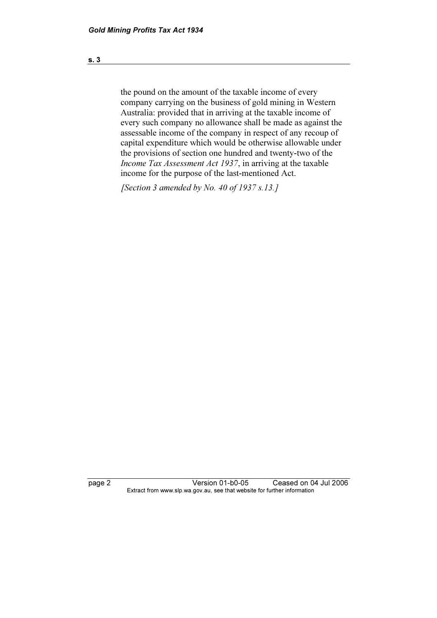the pound on the amount of the taxable income of every company carrying on the business of gold mining in Western Australia: provided that in arriving at the taxable income of every such company no allowance shall be made as against the assessable income of the company in respect of any recoup of capital expenditure which would be otherwise allowable under the provisions of section one hundred and twenty-two of the Income Tax Assessment Act 1937, in arriving at the taxable income for the purpose of the last-mentioned Act.

[Section 3 amended by No. 40 of 1937  $s.13$ .]

page 2 Version 01-b0-05 Ceased on 04 Jul 2006<br>Extract from www.slp.wa.gov.au, see that website for further information  $\mathbf{F}$  from which was the set that we besite for further information  $\mathbf{F}$ 

s. 3